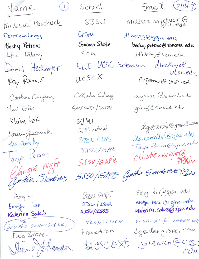Name

Melissa Paschuck

Doreenlears Becky Petrow Lisa Fabiny Daniel Heckmyer Ray Rosses Caroline Onyang Ymi Goda Khim lok

Louis Gecenok ella Connolly

lonya Person O Gristie Waht

Amy Li Evelyn Tsav Katerina Salas

(SOCORRO SCHWIDERSKI Deb Grove Dear Joharson

School

 $\begin{pmatrix} 1 \\ 1 \end{pmatrix}$ 

SJSU

GrGu Sonoma State SCU ucscX

Canada College GALCCCD/SVIER

SJ SU<br>SJ SU retered SJSU /1855 SJSU/GARE  $SISU/GAPE$ 

SISU GAPL- $8JSU \mid 1SSS$ SJSU/ISSS

TRANSITION transition

Email (2/16/17)

melissa paschuck@

dleongeggu. edu becky.petrow@sonoma.edu Ifabily@scu.edu ELI UCSC-Ertension dheckmyel utscedy MPorrer@ucscied

> aujange Csmccd.edu goday C Smccd.edu

lgecenok@gmail.com ella. connolly @ 2jsu.edu Tonya. Person @sjsu.edu christie.wright@

5JSU/GAPE Cynthia Sieveiros@Sjsoin

any. li Csjsu. edw evelyn-tsao @ sisu.edu katerina.salas@sjsu.edu

SLEALAL @ YAHOO. 67 dgodebgrove, com BICSCEXT. SOLAnsen@USC cdu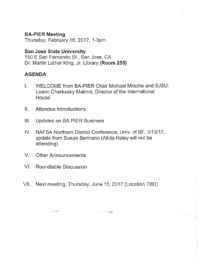#### BA-PIER Meeting

Thursday, February 16,2017, 1-3pm

## San Jose State University

<sup>1</sup>50 E San Fernando St., San Jose, CA Dr. Martin Luther King, Jr. Library (Room 255)

# AGENDA

- l. WELCOME from BA-PIER Chair Michael Mrache and SJSU: Leann Cherkasky Makhni, Director of the lnternational House
- II. Attendee Introductions
- lll. Updates on BA PIER Business
- lV. NAFSA Northern District Conference, Univ. of SF, 3113117, update from Susan Sermeno (Alicia Haley will not be attending)
- V. Other Announcements
- VI. Roundtable Discussion

 $\label{eq:2} \mathcal{L} = \mathcal{L} \mathcal{L} \mathcal{L} \mathcal{L} \mathcal{L} \mathcal{L} \mathcal{L} \mathcal{L} \mathcal{L} \mathcal{L} \mathcal{L} \mathcal{L} \mathcal{L} \mathcal{L} \mathcal{L} \mathcal{L} \mathcal{L} \mathcal{L} \mathcal{L} \mathcal{L} \mathcal{L} \mathcal{L} \mathcal{L} \mathcal{L} \mathcal{L} \mathcal{L} \mathcal{L} \mathcal{L} \mathcal{L} \mathcal{L} \mathcal{L} \mathcal{L} \mathcal{L} \mathcal{L} \math$ 

Vll. Next meeting, Thursday, June 15, 2017 (Location TBD)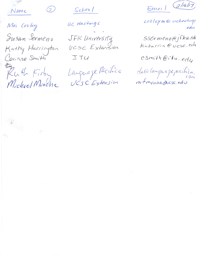Name

 $\circled{2}$ 

Mei Cooley Susan Sermeno Kathy Harrington<br>Corinne Smith Enth Firby<br>Michael Mrache

 $Schod$ 

UC Hastings

JFK University<br>UCSC Extension ITU

Language Pacifica

 $Emai\mid (2116117)$ 

cooleym@uchastings

SSermeno@jfku.tdu<br>Kaharrin @ucsc.edu

csmith@itu.edy

He@lagrapepcihica.

 $\label{eq:Ricci} \mathcal{P}(\mathcal{A}) = \frac{1}{2} \sum_{i=1}^n \mathcal{P}(i) \mathcal{P}(i) \mathcal{P}(i) + \frac{1}{2} \sum_{i=1}^n \mathcal{P}(i) \mathcal{P}(i) + \frac{1}{2} \sum_{i=1}^n \mathcal{P}(i) \mathcal{P}(i) + \frac{1}{2} \sum_{i=1}^n \mathcal{P}(i) \mathcal{P}(i) + \frac{1}{2} \sum_{i=1}^n \mathcal{P}(i) \mathcal{P}(i) + \frac{1}{2} \sum_{i=1}^n \mathcal{P}(i) \$